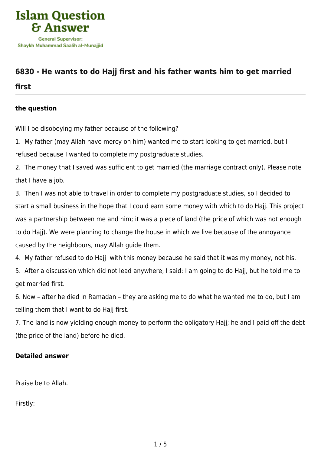

# **[6830 - He wants to do Hajj first and his father wants him to get married](https://islamqa.com/en/answers/6830/he-wants-to-do-hajj-first-and-his-father-wants-him-to-get-married-first)**

## **[first](https://islamqa.com/en/answers/6830/he-wants-to-do-hajj-first-and-his-father-wants-him-to-get-married-first)**

## **the question**

Will I be disobeying my father because of the following?

1. My father (may Allah have mercy on him) wanted me to start looking to get married, but I refused because I wanted to complete my postgraduate studies.

2. The money that I saved was sufficient to get married (the marriage contract only). Please note that I have a job.

3. Then I was not able to travel in order to complete my postgraduate studies, so I decided to start a small business in the hope that I could earn some money with which to do Hajj. This project was a partnership between me and him; it was a piece of land (the price of which was not enough to do Hajj). We were planning to change the house in which we live because of the annoyance caused by the neighbours, may Allah guide them.

4. My father refused to do Hajj with this money because he said that it was my money, not his.

5. After a discussion which did not lead anywhere, I said: I am going to do Hajj, but he told me to get married first.

6. Now – after he died in Ramadan – they are asking me to do what he wanted me to do, but I am telling them that I want to do Hajj first.

7. The land is now yielding enough money to perform the obligatory Hajj; he and I paid off the debt (the price of the land) before he died.

#### **Detailed answer**

Praise be to Allah.

Firstly: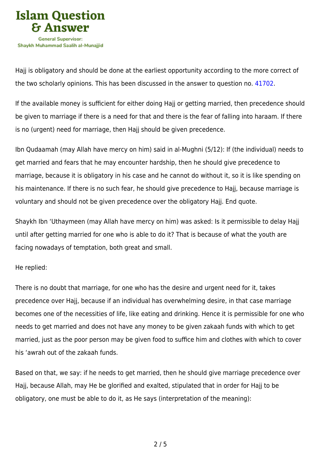

Hajj is obligatory and should be done at the earliest opportunity according to the more correct of the two scholarly opinions. This has been discussed in the answer to question no. [41702](https://islamqa.com/en/answers/41702).

If the available money is sufficient for either doing Hajj or getting married, then precedence should be given to marriage if there is a need for that and there is the fear of falling into haraam. If there is no (urgent) need for marriage, then Hajj should be given precedence.

Ibn Qudaamah (may Allah have mercy on him) said in al-Mughni (5/12): If (the individual) needs to get married and fears that he may encounter hardship, then he should give precedence to marriage, because it is obligatory in his case and he cannot do without it, so it is like spending on his maintenance. If there is no such fear, he should give precedence to Hajj, because marriage is voluntary and should not be given precedence over the obligatory Hajj. End quote.

Shaykh Ibn 'Uthaymeen (may Allah have mercy on him) was asked: Is it permissible to delay Hajj until after getting married for one who is able to do it? That is because of what the youth are facing nowadays of temptation, both great and small.

He replied:

There is no doubt that marriage, for one who has the desire and urgent need for it, takes precedence over Hajj, because if an individual has overwhelming desire, in that case marriage becomes one of the necessities of life, like eating and drinking. Hence it is permissible for one who needs to get married and does not have any money to be given zakaah funds with which to get married, just as the poor person may be given food to suffice him and clothes with which to cover his 'awrah out of the zakaah funds.

Based on that, we say: if he needs to get married, then he should give marriage precedence over Hajj, because Allah, may He be glorified and exalted, stipulated that in order for Hajj to be obligatory, one must be able to do it, as He says (interpretation of the meaning):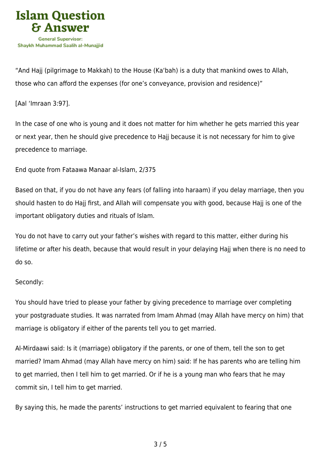

"And Hajj (pilgrimage to Makkah) to the House (Ka'bah) is a duty that mankind owes to Allah, those who can afford the expenses (for one's conveyance, provision and residence)"

[Aal 'Imraan 3:97].

In the case of one who is young and it does not matter for him whether he gets married this year or next year, then he should give precedence to Hajj because it is not necessary for him to give precedence to marriage.

End quote from Fataawa Manaar al-Islam, 2/375

Based on that, if you do not have any fears (of falling into haraam) if you delay marriage, then you should hasten to do Hajj first, and Allah will compensate you with good, because Hajj is one of the important obligatory duties and rituals of Islam.

You do not have to carry out your father's wishes with regard to this matter, either during his lifetime or after his death, because that would result in your delaying Hajj when there is no need to do so.

#### Secondly:

You should have tried to please your father by giving precedence to marriage over completing your postgraduate studies. It was narrated from Imam Ahmad (may Allah have mercy on him) that marriage is obligatory if either of the parents tell you to get married.

Al-Mirdaawi said: Is it (marriage) obligatory if the parents, or one of them, tell the son to get married? Imam Ahmad (may Allah have mercy on him) said: If he has parents who are telling him to get married, then I tell him to get married. Or if he is a young man who fears that he may commit sin, I tell him to get married.

By saying this, he made the parents' instructions to get married equivalent to fearing that one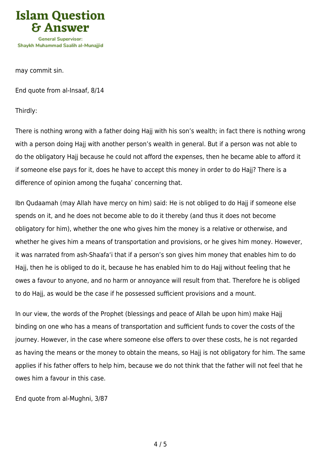

may commit sin.

End quote from al-Insaaf, 8/14

Thirdly:

There is nothing wrong with a father doing Hajj with his son's wealth; in fact there is nothing wrong with a person doing Hajj with another person's wealth in general. But if a person was not able to do the obligatory Hajj because he could not afford the expenses, then he became able to afford it if someone else pays for it, does he have to accept this money in order to do Hajj? There is a difference of opinion among the fuqaha' concerning that.

Ibn Qudaamah (may Allah have mercy on him) said: He is not obliged to do Hajj if someone else spends on it, and he does not become able to do it thereby (and thus it does not become obligatory for him), whether the one who gives him the money is a relative or otherwise, and whether he gives him a means of transportation and provisions, or he gives him money. However, it was narrated from ash-Shaafa'i that if a person's son gives him money that enables him to do Hajj, then he is obliged to do it, because he has enabled him to do Hajj without feeling that he owes a favour to anyone, and no harm or annoyance will result from that. Therefore he is obliged to do Hajj, as would be the case if he possessed sufficient provisions and a mount.

In our view, the words of the Prophet (blessings and peace of Allah be upon him) make Hajj binding on one who has a means of transportation and sufficient funds to cover the costs of the journey. However, in the case where someone else offers to over these costs, he is not regarded as having the means or the money to obtain the means, so Hajj is not obligatory for him. The same applies if his father offers to help him, because we do not think that the father will not feel that he owes him a favour in this case.

End quote from al-Mughni, 3/87